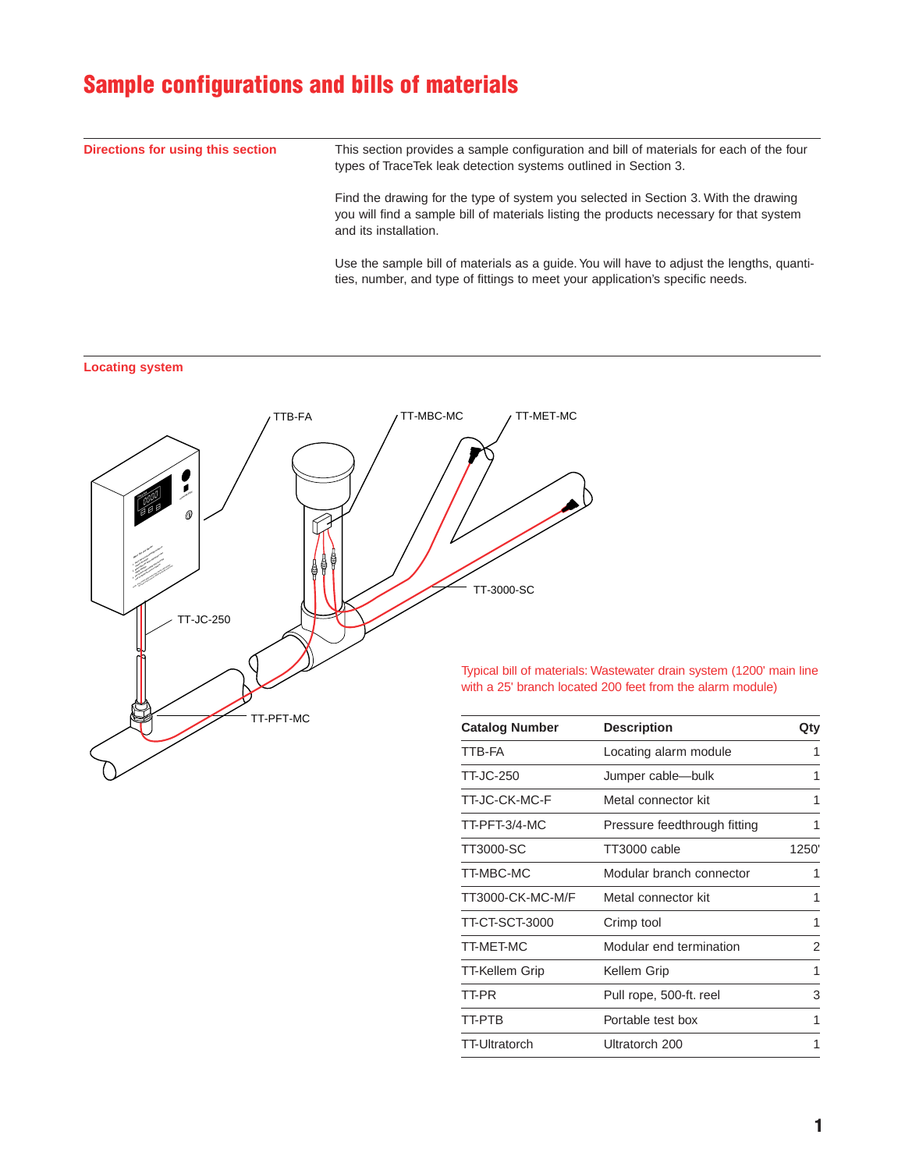# **Sample configurations and bills of materials**

**Directions for using this section** This section provides a sample configuration and bill of materials for each of the four types of TraceTek leak detection systems outlined in Section 3. Find the drawing for the type of system you selected in Section 3. With the drawing you will find a sample bill of materials listing the products necessary for that system and its installation.

Use the sample bill of materials as a guide. You will have to adjust the lengths, quantities, number, and type of fittings to meet your application's specific needs.

## **Locating system**



Typical bill of materials: Wastewater drain system (1200' main line with a 25' branch located 200 feet from the alarm module)

| <b>Catalog Number</b> | <b>Description</b>           | Qty            |
|-----------------------|------------------------------|----------------|
| TTB-FA                | Locating alarm module        | 1              |
| TT-JC-250             | Jumper cable-bulk            | 1              |
| TT-JC-CK-MC-F         | Metal connector kit          | 1              |
| TT-PFT-3/4-MC         | Pressure feedthrough fitting | 1              |
| TT3000-SC             | TT3000 cable                 | 1250'          |
| TT-MBC-MC             | Modular branch connector     | 1              |
| TT3000-CK-MC-M/F      | Metal connector kit          | 1              |
| TT-CT-SCT-3000        | Crimp tool                   | 1              |
| TT-MET-MC             | Modular end termination      | $\overline{2}$ |
| TT-Kellem Grip        | Kellem Grip                  | 1              |
| TT-PR                 | Pull rope, 500-ft. reel      | 3              |
| TT-PTB                | Portable test box            | 1              |
| TT-Ultratorch         | Ultratorch 200               | 1              |
|                       |                              |                |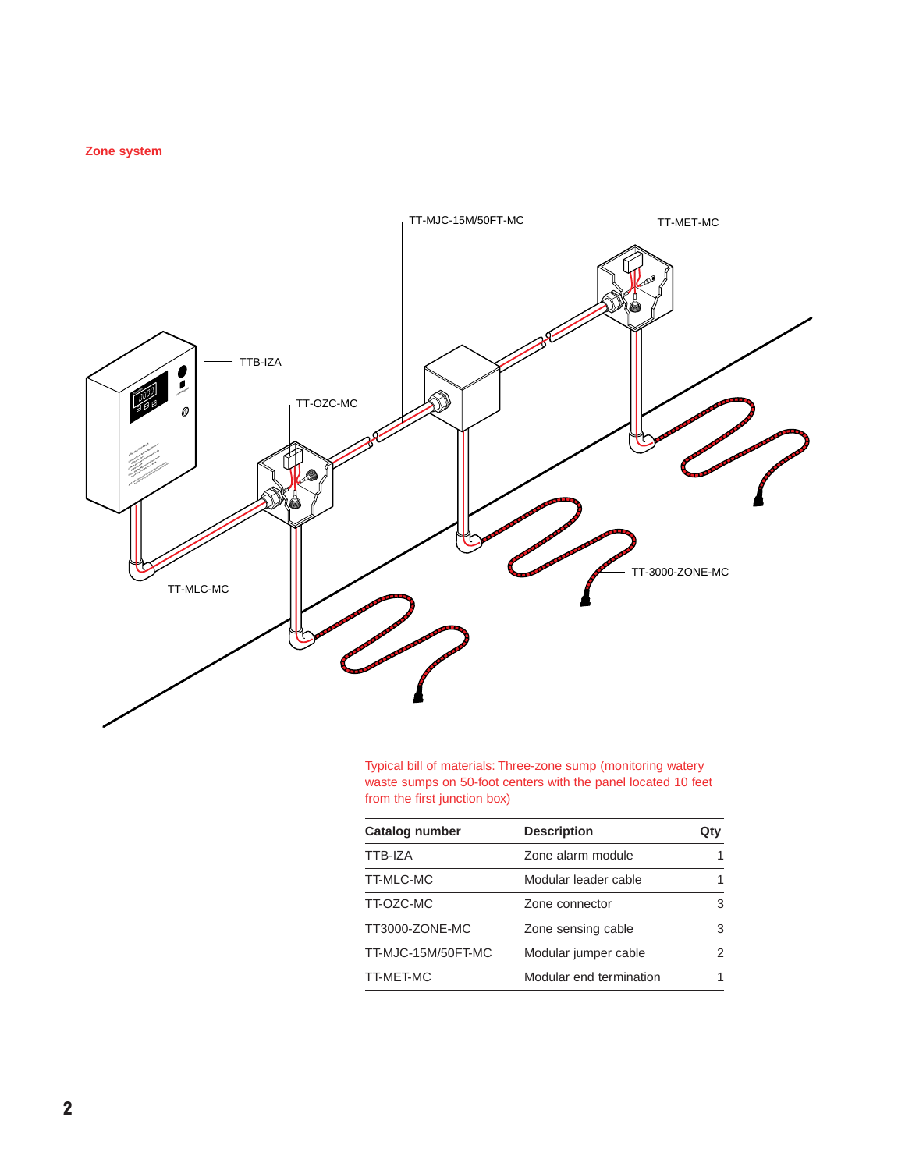## **Zone system**



Typical bill of materials: Three-zone sump (monitoring watery waste sumps on 50-foot centers with the panel located 10 feet from the first junction box)

| <b>Description</b>      | Qtv |
|-------------------------|-----|
| Zone alarm module       |     |
| Modular leader cable    |     |
| Zone connector          | 3   |
| Zone sensing cable      | 3   |
| Modular jumper cable    | 2   |
| Modular end termination |     |
|                         |     |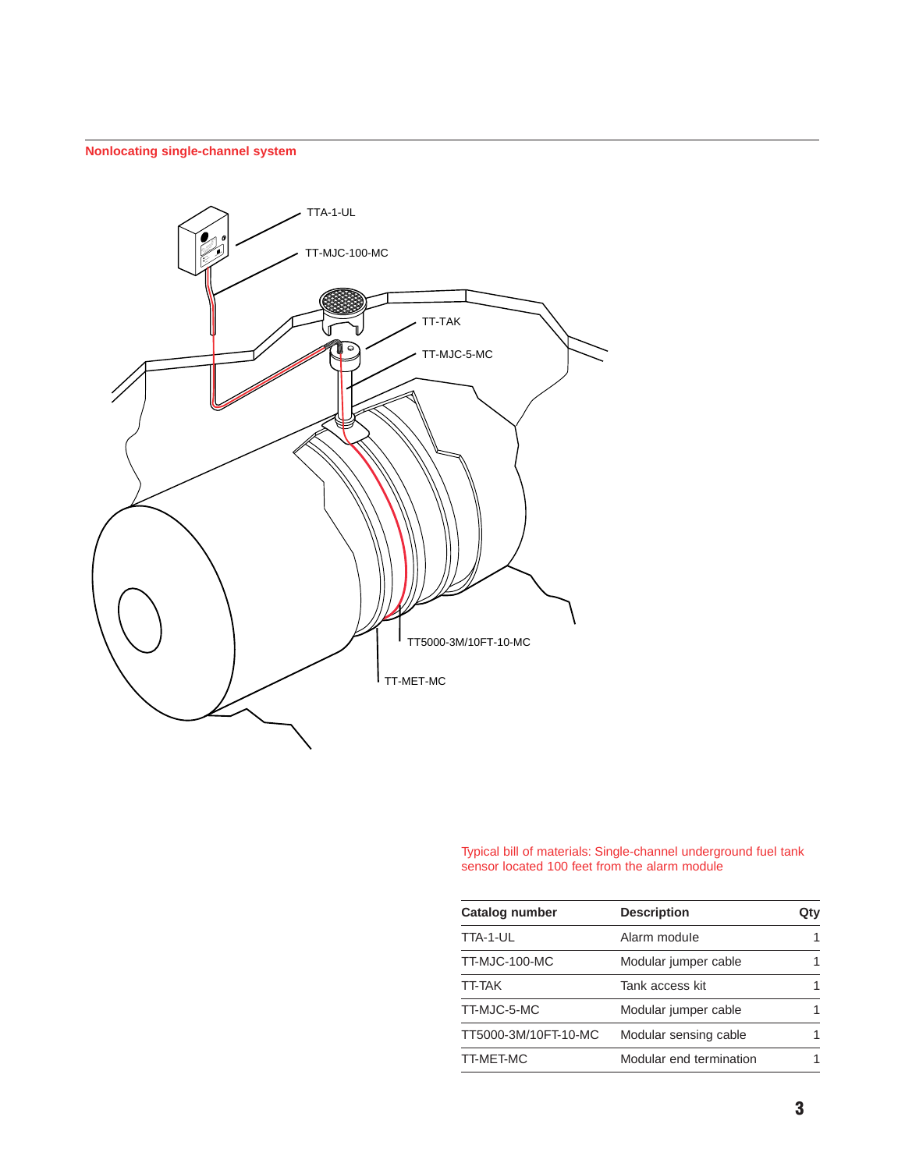## **Nonlocating single-channel system**



Typical bill of materials: Single-channel underground fuel tank sensor located 100 feet from the alarm module

| <b>Catalog number</b> | <b>Description</b>      | Qtv |
|-----------------------|-------------------------|-----|
| TTA-1-UL              | Alarm module            | 1   |
| TT-MJC-100-MC         | Modular jumper cable    |     |
| <b>TT-TAK</b>         | Tank access kit         |     |
| TT-MJC-5-MC           | Modular jumper cable    |     |
| TT5000-3M/10FT-10-MC  | Modular sensing cable   |     |
| TT-MET-MC             | Modular end termination |     |